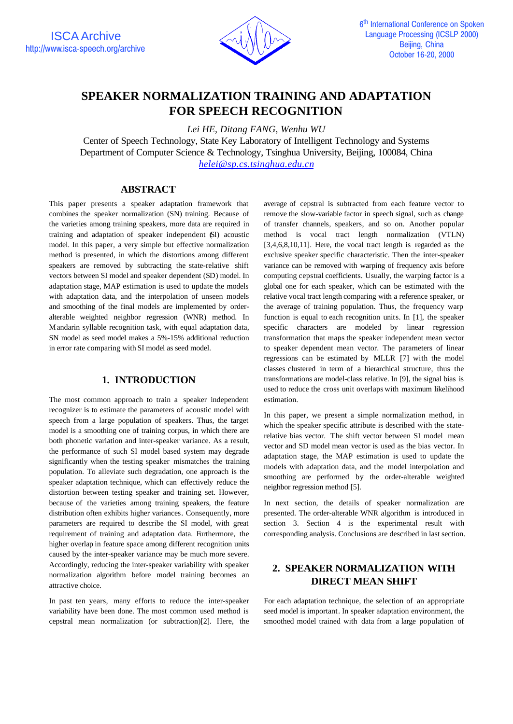

# **SPEAKER NORMALIZATION TRAINING AND ADAPTATION FOR SPEECH RECOGNITION**

*Lei HE, Ditang FANG, Wenhu WU*

Center of Speech Technology, State Key Laboratory of Intelligent Technology and Systems Department of Computer Science & Technology, Tsinghua University, Beijing, 100084, China *helei@sp.cs.tsinghua.edu.cn*

### **ABSTRACT**

This paper presents a speaker adaptation framework that combines the speaker normalization (SN) training. Because of the varieties among training speakers, more data are required in training and adaptation of speaker independent (SI) acoustic model. In this paper, a very simple but effective normalization method is presented, in which the distortions among different speakers are removed by subtracting the state-relative shift vectors between SI model and speaker dependent (SD) model. In adaptation stage, MAP estimation is used to update the models with adaptation data, and the interpolation of unseen models and smoothing of the final models are implemented by orderalterable weighted neighbor regression (WNR) method. In Mandarin syllable recognition task, with equal adaptation data, SN model as seed model makes a 5%-15% additional reduction in error rate comparing with SI model as seed model.

## **1. INTRODUCTION**

The most common approach to train a speaker independent recognizer is to estimate the parameters of acoustic model with speech from a large population of speakers. Thus, the target model is a smoothing one of training corpus, in which there are both phonetic variation and inter-speaker variance. As a result, the performance of such SI model based system may degrade significantly when the testing speaker mismatches the training population. To alleviate such degradation, one approach is the speaker adaptation technique, which can effectively reduce the distortion between testing speaker and training set. However, because of the varieties among training speakers, the feature distribution often exhibits higher variances. Consequently, more parameters are required to describe the SI model, with great requirement of training and adaptation data. Furthermore, the higher overlap in feature space among different recognition units caused by the inter-speaker variance may be much more severe. Accordingly, reducing the inter-speaker variability with speaker normalization algorithm before model training becomes an attractive choice.

In past ten years, many efforts to reduce the inter-speaker variability have been done. The most common used method is cepstral mean normalization (or subtraction)[2]. Here, the average of cepstral is subtracted from each feature vector to remove the slow-variable factor in speech signal, such as change of transfer channels, speakers, and so on. Another popular method is vocal tract length normalization (VTLN) [3,4,6,8,10,11]. Here, the vocal tract length is regarded as the exclusive speaker specific characteristic. Then the inter-speaker variance can be removed with warping of frequency axis before computing cepstral coefficients. Usually, the warping factor is a global one for each speaker, which can be estimated with the relative vocal tract length comparing with a reference speaker, or the average of training population. Thus, the frequency warp function is equal to each recognition units. In [1], the speaker specific characters are modeled by linear regression transformation that maps the speaker independent mean vector to speaker dependent mean vector. The parameters of linear regressions can be estimated by MLLR [7] with the model classes clustered in term of a hierarchical structure, thus the transformations are model-class relative. In [9], the signal bias is used to reduce the cross unit overlaps with maximum likelihood estimation.

In this paper, we present a simple normalization method, in which the speaker specific attribute is described with the staterelative bias vector. The shift vector between SI model mean vector and SD model mean vector is used as the bias vector. In adaptation stage, the MAP estimation is used to update the models with adaptation data, and the model interpolation and smoothing are performed by the order-alterable weighted neighbor regression method [5].

In next section, the details of speaker normalization are presented. The order-alterable WNR algorithm is introduced in section 3. Section 4 is the experimental result with corresponding analysis. Conclusions are described in last section.

# **2. SPEAKER NORMALIZATION WITH DIRECT MEAN SHIFT**

For each adaptation technique, the selection of an appropriate seed model is important. In speaker adaptation environment, the smoothed model trained with data from a large population of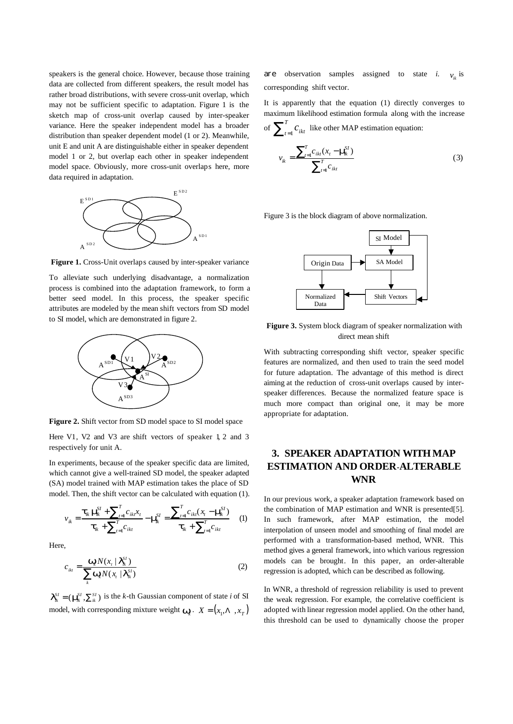speakers is the general choice. However, because those training data are collected from different speakers, the result model has rather broad distributions, with severe cross-unit overlap, which may not be sufficient specific to adaptation. Figure 1 is the sketch map of cross-unit overlap caused by inter-speaker variance. Here the speaker independent model has a broader distribution than speaker dependent model (1 or 2). Meanwhile, unit E and unit A are distinguishable either in speaker dependent model 1 or 2, but overlap each other in speaker independent model space. Obviously, more cross-unit overlaps here, more data required in adaptation.



 **Figure 1.** Cross-Unit overlaps caused by inter-speaker variance

To alleviate such underlying disadvantage, a normalization process is combined into the adaptation framework, to form a better seed model. In this process, the speaker specific attributes are modeled by the mean shift vectors from SD model to SI model, which are demonstrated in figure 2.



**Figure 2.** Shift vector from SD model space to SI model space

Here V1, V2 and V3 are shift vectors of speaker 1, 2 and 3 respectively for unit A.

In experiments, because of the speaker specific data are limited, which cannot give a well-trained SD model, the speaker adapted (SA) model trained with MAP estimation takes the place of SD model. Then, the shift vector can be calculated with equation (1).

$$
v_{ik} = \frac{\boldsymbol{t}_{ik} \boldsymbol{n}_{ik}^{S I} + \sum_{t=1}^{T} c_{ikt} x_t}{\boldsymbol{t}_{ik} + \sum_{t=1}^{T} c_{ikt}} - \boldsymbol{n}_{ik}^{S I} = \frac{\sum_{t=1}^{T} c_{ikt} (x_t - \boldsymbol{n}_{ik}^{S I})}{\boldsymbol{t}_{ik} + \sum_{t=1}^{T} c_{ikt}} \quad (1)
$$

Here,

$$
c_{ikt} = \frac{\mathbf{W}_k N(x_t | \mathbf{I}_{ik}^{SI})}{\sum_k \mathbf{W}_k N(x_t | \mathbf{I}_{ik}^{SI})}
$$
(2)

 $I_{ik}^{SI} = (\mathbf{m}_{ik}^{SI}, \sum_{ik}^{SI})$  is the *k*-th Gaussian component of state *i* of SI model, with corresponding mixture weight  $\mathbf{w}_k$ .  $X = (x_1, \Lambda, x_T)$  are observation samples assigned to state *i*.  $v_{ik}$  is corresponding shift vector.

It is apparently that the equation (1) directly converges to maximum likelihood estimation formula along with the increase of  $\sum_{t=1}^T$  $\sum_{t=1}^{T} C_{ikt}$  like other MAP estimation equation:

$$
v_{ik} = \frac{\sum_{t=1}^{T} c_{ikt} (x_t - \mathbf{n}_k^{\mathcal{Y}})}{\sum_{t=1}^{T} c_{ikt}}
$$
(3)

Figure 3 is the block diagram of above normalization.



**Figure 3.** System block diagram of speaker normalization with direct mean shift

With subtracting corresponding shift vector, speaker specific features are normalized, and then used to train the seed model for future adaptation. The advantage of this method is direct aiming at the reduction of cross-unit overlaps caused by interspeaker differences. Because the normalized feature space is much more compact than original one, it may be more appropriate for adaptation.

# **3. SPEAKER ADAPTATION WITHMAP ESTIMATION AND ORDER-ALTERABLE WNR**

In our previous work, a speaker adaptation framework based on the combination of MAP estimation and WNR is presented[5]. In such framework, after MAP estimation, the model interpolation of unseen model and smoothing of final model are performed with a transformation-based method, WNR. This method gives a general framework, into which various regression models can be brought. In this paper, an order-alterable regression is adopted, which can be described as following.

In WNR, a threshold of regression reliability is used to prevent the weak regression. For example, the correlative coefficient is adopted with linear regression model applied. On the other hand, this threshold can be used to dynamically choose the proper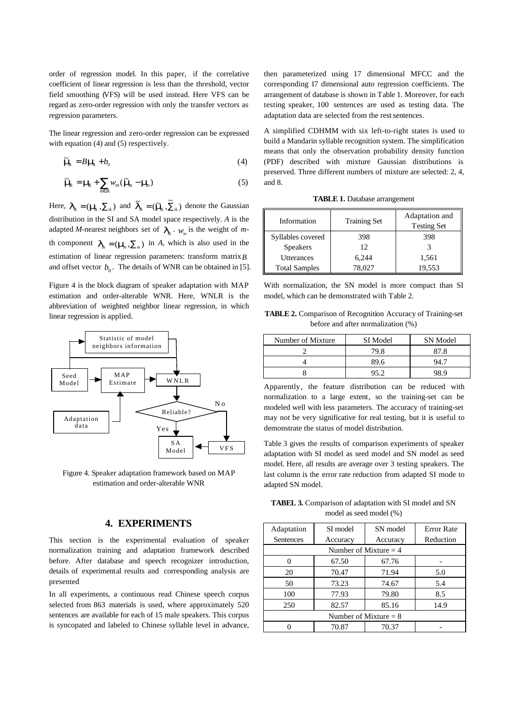order of regression model. In this paper, if the correlative coefficient of linear regression is less than the threshold, vector field smoothing (VFS) will be used instead. Here VFS can be regard as zero-order regression with only the transfer vectors as regression parameters.

The linear regression and zero-order regression can be expressed with equation (4) and (5) respectively.

$$
\widetilde{\mathbf{n}} \mathbf{g} = B \mathbf{n} \mathbf{g} + b_0 \tag{4}
$$

$$
\widetilde{\boldsymbol{n}}_{\boldsymbol{k}} = \boldsymbol{n}_{\boldsymbol{k}} + \sum_{m \in A} w_m (\widetilde{\boldsymbol{n}}_{\boldsymbol{m}} - \boldsymbol{n}_{\boldsymbol{m}}) \tag{5}
$$

Here,  $I_{ik} = (m_k, \sum_{ik})$  and  $\tilde{I}_{ik} = (\tilde{m}_k, \tilde{\sum}_{ik})$  denote the Gaussian distribution in the SI and SA model space respectively. *A* is the adapted *M*-nearest neighbors set of  $I_{ik}$ .  $W_m$  is the weight of *m*th component  $\mathbf{I}_m = (\mathbf{m}, \Sigma_m)$  in *A*, which is also used in the estimation of linear regression parameters: transform matrix*B* and offset vector  $b_0$ . The details of WNR can be obtained in [5].

Figure 4 is the block diagram of speaker adaptation with MAP estimation and order-alterable WNR. Here, WNLR is the abbreviation of weighted neighbor linear regression, in which linear regression is applied.



Figure 4. Speaker adaptation framework based on MAP estimation and order-alterable WNR

#### **4. EXPERIMENTS**

This section is the experimental evaluation of speaker normalization training and adaptation framework described before. After database and speech recognizer introduction, details of experimental results and corresponding analysis are presented

In all experiments, a continuous read Chinese speech corpus selected from 863 materials is used, where approximately 520 sentences are available for each of 15 male speakers. This corpus is syncopated and labeled to Chinese syllable level in advance,

then parameterized using 17 dimensional MFCC and the corresponding 17 dimensional auto regression coefficients. The arrangement of database is shown in Table 1. Moreover, for each testing speaker, 100 sentences are used as testing data. The adaptation data are selected from the rest sentences.

A simplified CDHMM with six left-to-right states is used to build a Mandarin syllable recognition system. The simplification means that only the observation probability density function (PDF) described with mixture Gaussian distributions is preserved. Three different numbers of mixture are selected: 2, 4, and 8.

**TABLE 1.** Database arrangement

| Information          | <b>Training Set</b> | Adaptation and<br><b>Testing Set</b> |
|----------------------|---------------------|--------------------------------------|
| Syllables covered    | 398                 | 398                                  |
| <b>Speakers</b>      | 12 <sub>1</sub>     |                                      |
| Utterances           | 6.244               | 1,561                                |
| <b>Total Samples</b> | 78.027              | 19,553                               |

With normalization, the SN model is more compact than SI model, which can be demonstrated with Table 2.

**TABLE 2.** Comparison of Recognition Accuracy of Training-set before and after normalization (%)

| Number of Mixture | SI Model | SN Model |
|-------------------|----------|----------|
|                   |          |          |
|                   | 89 6     |          |
|                   |          |          |

Apparently, the feature distribution can be reduced with normalization to a large extent, so the training-set can be modeled well with less parameters. The accuracy of training-set may not be very significative for real testing, but it is useful to demonstrate the status of model distribution.

Table 3 gives the results of comparison experiments of speaker adaptation with SI model as seed model and SN model as seed model. Here, all results are average over 3 testing speakers. The last column is the error rate reduction from adapted SI mode to adapted SN model.

**TABEL 3.** Comparison of adaptation with SI model and SN model as seed model (%)

| Adaptation              | SI model | SN model | <b>Error Rate</b> |  |
|-------------------------|----------|----------|-------------------|--|
| Sentences               | Accuracy | Accuracy | Reduction         |  |
| Number of Mixture $=$ 4 |          |          |                   |  |
|                         | 67.50    | 67.76    |                   |  |
| 20                      | 70.47    | 71.94    | 5.0               |  |
| 50                      | 73.23    | 74.67    | 5.4               |  |
| 100                     | 77.93    | 79.80    | 8.5               |  |
| 250                     | 82.57    | 85.16    | 14.9              |  |
| Number of Mixture $= 8$ |          |          |                   |  |
|                         | 70.87    | 70.37    |                   |  |